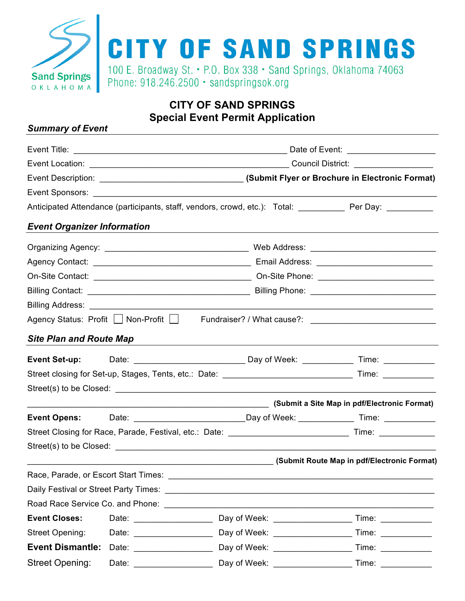

# **CITY OF SAND SPRINGS Special Event Permit Application**

### *Summary of Event*

|                                    |                                                   | Anticipated Attendance (participants, staff, vendors, crowd, etc.): Total: ___________ Per Day: __________      |                     |  |  |
|------------------------------------|---------------------------------------------------|-----------------------------------------------------------------------------------------------------------------|---------------------|--|--|
| <b>Event Organizer Information</b> |                                                   |                                                                                                                 |                     |  |  |
|                                    |                                                   |                                                                                                                 |                     |  |  |
|                                    |                                                   |                                                                                                                 |                     |  |  |
|                                    |                                                   |                                                                                                                 |                     |  |  |
|                                    |                                                   |                                                                                                                 |                     |  |  |
|                                    |                                                   |                                                                                                                 |                     |  |  |
|                                    | Agency Status: Profit   Non-Profit   Non-         |                                                                                                                 |                     |  |  |
| <b>Site Plan and Route Map</b>     |                                                   |                                                                                                                 |                     |  |  |
|                                    |                                                   |                                                                                                                 |                     |  |  |
|                                    |                                                   |                                                                                                                 |                     |  |  |
|                                    |                                                   |                                                                                                                 |                     |  |  |
|                                    |                                                   | (Submit a Site Map in pdf/Electronic Format) (Submit a Site Map in pdf/Electronic Format)                       |                     |  |  |
|                                    |                                                   |                                                                                                                 |                     |  |  |
|                                    |                                                   |                                                                                                                 |                     |  |  |
|                                    |                                                   |                                                                                                                 |                     |  |  |
|                                    |                                                   | (Submit Route Map in pdf/Electronic Format) (Submit Route Map in pdf/Electronic Format)                         |                     |  |  |
|                                    |                                                   |                                                                                                                 |                     |  |  |
|                                    |                                                   | Daily Festival or Street Party Times: Daily Present and Control of the Control of the Control of the Control of |                     |  |  |
|                                    | Road Race Service Co. and Phone: Network Co. 2014 |                                                                                                                 |                     |  |  |
| <b>Event Closes:</b>               | Date: <u>____________________</u>                 | Day of Week: ___________________                                                                                | Time:               |  |  |
| <b>Street Opening:</b>             |                                                   | Day of Week: ___________________                                                                                | Time: _____________ |  |  |
| <b>Event Dismantle:</b>            |                                                   |                                                                                                                 |                     |  |  |
| <b>Street Opening:</b>             |                                                   | Day of Week: _________________                                                                                  |                     |  |  |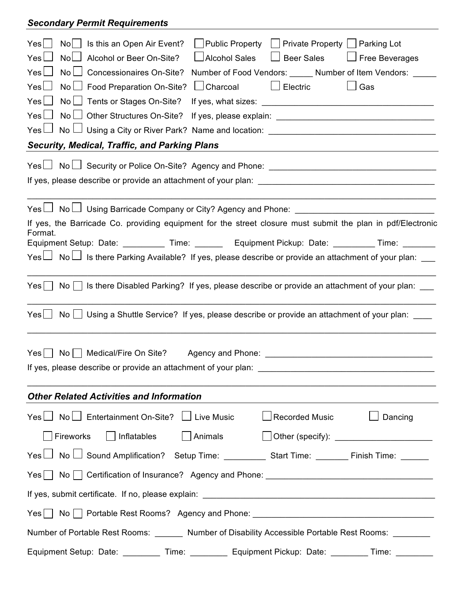## *Secondary Permit Requirements*

| Yes<br>Is this an Open Air Event?<br><b>Public Property</b><br>Private Property   Parking Lot<br>No                     |  |  |  |  |  |
|-------------------------------------------------------------------------------------------------------------------------|--|--|--|--|--|
| $\Box$ Alcohol Sales<br><b>Beer Sales</b><br>$\Box$ Free Beverages<br>Yes L<br>Nol<br>Alcohol or Beer On-Site?          |  |  |  |  |  |
| $Yes \Box$<br>No <sub>1</sub><br><b>Concessionaires On-Site?</b><br>Number of Food Vendors: Number of Item Vendors:     |  |  |  |  |  |
| $\Box$ Charcoal<br>Yes<br>Electric<br>Gas<br>No l<br>Food Preparation On-Site?                                          |  |  |  |  |  |
| $Yes$ $\Box$<br>No <sub>1</sub><br>Tents or Stages On-Site?                                                             |  |  |  |  |  |
| $Yes \Box$<br>No l<br>Other Structures On-Site?<br>$\blacksquare$                                                       |  |  |  |  |  |
| $Yes \Box$                                                                                                              |  |  |  |  |  |
| <b>Security, Medical, Traffic, and Parking Plans</b>                                                                    |  |  |  |  |  |
| Yes□ No□ Security or Police On-Site? Agency and Phone: ________________________                                         |  |  |  |  |  |
|                                                                                                                         |  |  |  |  |  |
|                                                                                                                         |  |  |  |  |  |
| Yes $\Box$ No $\Box$ Using Barricade Company or City? Agency and Phone: _______________________________                 |  |  |  |  |  |
| If yes, the Barricade Co. providing equipment for the street closure must submit the plan in pdf/Electronic             |  |  |  |  |  |
| Format.<br>Equipment Setup: Date: ___________ Time: ________ Equipment Pickup: Date: _________ Time: ________           |  |  |  |  |  |
| Yes $\Box$ No $\Box$ Is there Parking Available? If yes, please describe or provide an attachment of your plan: $\Box$  |  |  |  |  |  |
|                                                                                                                         |  |  |  |  |  |
| Is there Disabled Parking? If yes, please describe or provide an attachment of your plan: __<br>Yes <br>No <sub>1</sub> |  |  |  |  |  |
|                                                                                                                         |  |  |  |  |  |
| Using a Shuttle Service? If yes, please describe or provide an attachment of your plan: ____<br>Yes <br>No <sub>1</sub> |  |  |  |  |  |
|                                                                                                                         |  |  |  |  |  |
| Yes <br>No   Medical/Fire On Site? Agency and Phone: _______                                                            |  |  |  |  |  |
| If yes, please describe or provide an attachment of your plan:                                                          |  |  |  |  |  |
|                                                                                                                         |  |  |  |  |  |
| <b>Other Related Activities and Information</b>                                                                         |  |  |  |  |  |
|                                                                                                                         |  |  |  |  |  |
| $Yes \Box No \Box Entertainment On-Site? \Box Live Music$<br>$\Box$ Recorded Music<br>Dancing                           |  |  |  |  |  |
| Inflatables<br>  Animals<br>Fireworks                                                                                   |  |  |  |  |  |
|                                                                                                                         |  |  |  |  |  |
| Yes   No   Certification of Insurance? Agency and Phone: ________________________                                       |  |  |  |  |  |
|                                                                                                                         |  |  |  |  |  |
| Yes   No   Portable Rest Rooms? Agency and Phone: ______________________________                                        |  |  |  |  |  |
| Number of Portable Rest Rooms: Number of Disability Accessible Portable Rest Rooms: Number of Portable Rest Rooms:      |  |  |  |  |  |
| Equipment Setup: Date: __________ Time: __________ Equipment Pickup: Date: _________ Time:                              |  |  |  |  |  |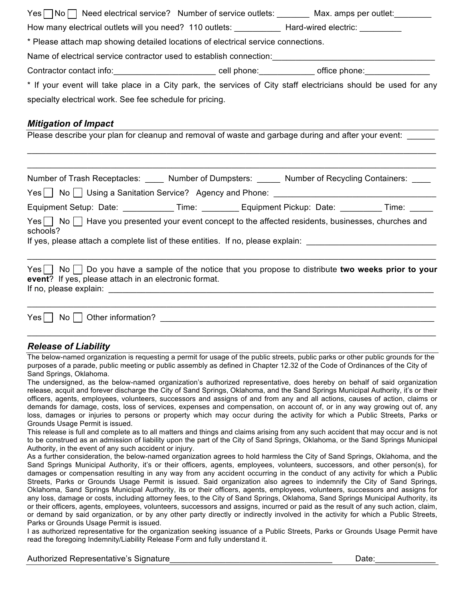|                                                                                                                                            |  | $\mathsf{Yes} \sqcap \mathsf{No} \sqcap$ Need electrical service? Number of service outlets: _______ Max. amps per outlet: _______ |  |  |  |  |  |
|--------------------------------------------------------------------------------------------------------------------------------------------|--|------------------------------------------------------------------------------------------------------------------------------------|--|--|--|--|--|
| How many electrical outlets will you need? 110 outlets: ____________ Hard-wired electric: _________                                        |  |                                                                                                                                    |  |  |  |  |  |
| * Please attach map showing detailed locations of electrical service connections.                                                          |  |                                                                                                                                    |  |  |  |  |  |
| Name of electrical service contractor used to establish connection:<br>Name of electrical service contractor used to establish connection: |  |                                                                                                                                    |  |  |  |  |  |
|                                                                                                                                            |  |                                                                                                                                    |  |  |  |  |  |
|                                                                                                                                            |  | * If your event will take place in a City park, the services of City staff electricians should be used for any                     |  |  |  |  |  |
| specialty electrical work. See fee schedule for pricing.                                                                                   |  |                                                                                                                                    |  |  |  |  |  |
|                                                                                                                                            |  |                                                                                                                                    |  |  |  |  |  |
| <b>Mitigation of Impact</b>                                                                                                                |  |                                                                                                                                    |  |  |  |  |  |
|                                                                                                                                            |  | Please describe your plan for cleanup and removal of waste and garbage during and after your event:                                |  |  |  |  |  |
|                                                                                                                                            |  |                                                                                                                                    |  |  |  |  |  |
|                                                                                                                                            |  | Number of Trash Receptacles: _____ Number of Dumpsters: ______ Number of Recycling Containers: ____                                |  |  |  |  |  |
| Yes No Using a Sanitation Service? Agency and Phone: ___________________________                                                           |  |                                                                                                                                    |  |  |  |  |  |
|                                                                                                                                            |  | Equipment Setup: Date: ____________Time: __________ Equipment Pickup: Date: _________ Time: ______                                 |  |  |  |  |  |
| Yes No Have you presented your event concept to the affected residents, businesses, churches and<br>schools?                               |  |                                                                                                                                    |  |  |  |  |  |
| If yes, please attach a complete list of these entities. If no, please explain: ______________________________                             |  |                                                                                                                                    |  |  |  |  |  |
|                                                                                                                                            |  |                                                                                                                                    |  |  |  |  |  |
| event? If yes, please attach in an electronic format.                                                                                      |  | $Yes \mid No \mid Do$ you have a sample of the notice that you propose to distribute two weeks prior to your                       |  |  |  |  |  |
|                                                                                                                                            |  |                                                                                                                                    |  |  |  |  |  |
|                                                                                                                                            |  |                                                                                                                                    |  |  |  |  |  |

#### *Release of Liability*

The below-named organization is requesting a permit for usage of the public streets, public parks or other public grounds for the purposes of a parade, public meeting or public assembly as defined in Chapter 12.32 of the Code of Ordinances of the City of Sand Springs, Oklahoma.

The undersigned, as the below-named organization's authorized representative, does hereby on behalf of said organization release, acquit and forever discharge the City of Sand Springs, Oklahoma, and the Sand Springs Municipal Authority, it's or their officers, agents, employees, volunteers, successors and assigns of and from any and all actions, causes of action, claims or demands for damage, costs, loss of services, expenses and compensation, on account of, or in any way growing out of, any loss, damages or injuries to persons or property which may occur during the activity for which a Public Streets, Parks or Grounds Usage Permit is issued.

This release is full and complete as to all matters and things and claims arising from any such accident that may occur and is not to be construed as an admission of liability upon the part of the City of Sand Springs, Oklahoma, or the Sand Springs Municipal Authority, in the event of any such accident or injury.

As a further consideration, the below-named organization agrees to hold harmless the City of Sand Springs, Oklahoma, and the Sand Springs Municipal Authority, it's or their officers, agents, employees, volunteers, successors, and other person(s), for damages or compensation resulting in any way from any accident occurring in the conduct of any activity for which a Public Streets, Parks or Grounds Usage Permit is issued. Said organization also agrees to indemnify the City of Sand Springs, Oklahoma, Sand Springs Municipal Authority, its or their officers, agents, employees, volunteers, successors and assigns for any loss, damage or costs, including attorney fees, to the City of Sand Springs, Oklahoma, Sand Springs Municipal Authority, its or their officers, agents, employees, volunteers, successors and assigns, incurred or paid as the result of any such action, claim, or demand by said organization, or by any other party directly or indirectly involved in the activity for which a Public Streets, Parks or Grounds Usage Permit is issued.

I as authorized representative for the organization seeking issuance of a Public Streets, Parks or Grounds Usage Permit have read the foregoing Indemnity/Liability Release Form and fully understand it.